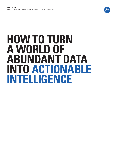

# **HOW TO TURN A WORLD OF ABUNDANT DATA INTO ACTIONABLE INTELLIGENCE**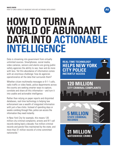

# **HOW TO TURN A WORLD OF ABUNDANT DATA INTO ACTIONABLE INTELLIGENCE**

Data is streaming into government from virtually unlimited sources. Smartphones, social media, video cameras, sensors and alarms are giving public safety agencies the ability to see, hear and do more with less. Yet this abundance of information comes with an enormous challenge: how do agencies operationalize all the data that surrounds them?

Whether citizen multimedia messages or 9-1-1 calls, radio traffic or video feeds, police departments across the country are seeking smarter ways to capture, correlate and share all this information – and turn it into usable and actionable intelligence.

Rather than relying on paper reports and disjointed databases, real-time technology is helping law enforcement see a wealth of integrated information with just a few clicks. Instead of spending days or weeks combing through files, police can access the information they need instantly.

In New York City for example, this means 120 million city criminal complaints; arrests and 911 call records dating back a decade; five million criminal records and parole files maintained by the state; and more than 31 million records of crime committed nationwide.1

**REAL-TIME TECHNOLOGY INSTANTLY ACCESS HELPS NEW YORK POLICE** 

**120 MILLION**

**31 MILLION**

**RECORDS**

**NATIONWIDE CRIMES**

**5 MILLION**

**CRIMINAL** 

**CRIMINAL COMPLAINTS**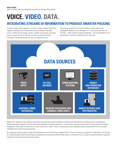## **VOICE. VIDEO. DATA.**

#### **INTEGRATING STREAMS OF INFORMATION TO PRODUCE SMARTER POLICING**

The key for public safety agencies is to have a solution in place that brings together information from multiple data sources making it actionable, such as: mobile and fixed video, sensors, weather, social media, personnel location, assets as well as CAD and records to process and analyze information, thereby delivering one, real-time operational view.

Video inputs. Incident and criminal complaints. Arrest records and photographs. National crime databases. 9-1-1 call records and more. All this data – which resides in separate databases – can be integrated for law enforcement in seconds instead of hours or even days.



What's more, advanced video analytics and sensors that anticipate crowd formations and detects gunshots delivers an additional layer of intelligence. Advanced analytics integrates with the records and databases an agency already has – from parole to national crime records to court records and evidence management. Now when a crowd forms in a high crime area or a gun is fired in a sprawling city park, advanced analytics equips police with the relevant intelligence they need to be more proactive.

By integrating multiple streams of data and multimedia into one unified view, a badged officer in front of monitors can support first responders in the field as an incident develops. Both the technology and applications are giving that officer timely access to information from a myriad of sources to help the responder confront the situation and solve the crime quickly.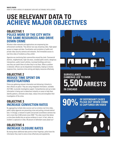## **USE RELEVANT DATA TO ACHIEVE MAJOR OBJECTIVES**

#### **OBJECTIVE 1 POLICE MORE OF THE CITY WITH THE SAME RESOURCES AND DRIVE DOWN CRIME**

Wireless video networks and applications are empowering law enforcement worldwide. They deliver two-way streaming video. High-speed access to images and data. Coordination and correlation of public and private video security cameras and networks. And immediate access to real-time video of incidents as they unfold.

Agencies are monitoring their communities around the clock. Commercial districts, neighborhoods, high-risk areas, crowded public events, dangerous intersections, public transit vehicles, municipal buildings and more – now they can watch them all when they're not there. When a problem is detected, officers can be dispatched immediately, helping to shorten response time, maximize crime-solving and deploy resources effectively.

#### **OBJECTIVE 2 REDUCE TIME SPENT ON INVESTIGATIONS**

Police are gathering relevant information and delivering it directly to their officers on patrol. They are using integrated information, available 24/7/365, to provide investigative support. Comprehensive and up-to-date information is being sent to detectives instantly on scene to help them identify patterns, eliminate extra steps, reduce time and strengthen their investigation of the crime.

#### **OBJECTIVE 3 INCREASE CONVICTION RATES**

By aggregating multiple data sources such as wireless real-time video, public safety agencies are preventing crime and putting criminals behind bars. In Chicago, a network of public and private surveillance cameras has led to more than 5,500 arrests since 2006.<sup>2</sup> The video record that deters a crime does double duty as serious evidence in court. In fact, when an incident is captured on video, 90 percent of defendant cases plead out.<sup>3</sup>

#### **OBJECTIVE 4 INCREASE CLOSURE RATES**

By having these additional data points at their fingertips, police have the information they need to solve crimes effectively and expediently.



#### **SURVEILLANCE CAMERAS LED TO OVER IN CHICAGO 5,500 ARRESTS**

**OF DEFENDANT CASES PLEAD OUT WHEN CRIME 90% IS CAPTURED ON VIDEO**

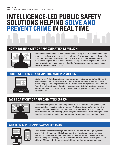HOW TO TURN A WORLD OF ABUNDANT DATA INTO ACTIONABLE INTELLIGENCE

## **INTELLIGENCE-LED PUBLIC SAFETY SOLUTIONS HELPING SOLVE AND PREVENT CRIME IN REAL TIME**

#### **NORTHEASTERN CITY OF APPROXIMATELY 1.5 MILLION**



Implemented an Intelligence-Led Public Safety concept utilizing the Real-Time Intelligence Client to increase situational awareness and direct deployment. Analysts from a Real-Time Crime Center (RTCC) see every incoming 911 call and pull up video images from crime scenes immediately. When officers respond, the Real-Time Crime Center already has video footage that shows which way a perpetrator ran or what a shooter looked like. This speeds response and gives officers a head start before they arrive on scene.

#### **SOUTHWESTERN CITY OF APPROXIMATELY 2 MILLION**



Intelligence-Led Public Safety solutions are used to expediently capture and provide field officers and investigators with instant, comprehensive information to help identify suspects, crime patterns and prevent emerging crime. During the commission of a heinous crime, investigators used Intelligence-Led Public Safety solutions to obtain substantial information on suspects, including pictures, addresses and other identifiers. This resulted in the apprehension, arrest and prevention of other crimes by these violent offenders.

#### **EAST COAST CITY OF APPROXIMATELY 600,000**



Developed an Intelligence-Led Public Safety concept as the nerve cell for police operations, with computer displays of busy intersections, incoming 911 calls and city maps. When a major crime breaks, intelligence operators instantly communicate what they see on the screens to officers dispatched to the incident. For example, after intelligence operators witnessed a shooting on a video feed, they relayed details about the gunman, including his exact location, to responding officers.

#### **WESTERN CITY OF APPROXIMATELY 85,000**



Linked with thousands of private and government-owned cameras to put more digital eyes on the streets. Their Intelligence-Led Public Safety concept gives officers instant access to integrated databases and video feeds. Software at the operations center also includes license plate reading and facial-recognition technology, and allows them to tap into criminal histories for suspects and city addresses. Officers receive data enroute to an incident and continual updates once they arrive.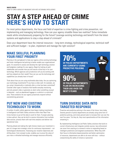## **STAY A STEP AHEAD OF CRIME HERE'S HOW TO START**

For most police departments, the focus and field of expertise is crime-fighting and crime prevention, not implementing and managing technology. How can your agency straddle these two realities? Solve immediate needs while simultaneously preparing for the future? Leverage existing technology and benefit from the latest systems and applications to stay a step ahead of criminals?

Does your department have the internal resources – long-term strategy, technological expertise, technical staff and sufficient budget – to plan, implement and manage the right solution?

#### **MAKE SKILLFUL PLANNING YOUR FIRST PRIORITY**

Planning is the springboard to help your agency utilize existing technology and foster intelligence-led policing to better enable your organizational goals. It's essential to assess and develop the right technology solution and budgetary roadmap for your agency. Begin by looking at each stakeholder and consider how you will secure critical buy-in for your technology. Which agencies and jurisdictions will you be working with and how aligned are their needs? How can you use the technology and capabilities you already have in-house?

Think about how you are using multimedia data today. Are you optimizing your technology investments? If you have a video wall, for example, are you using it dynamically or statically after a crime has been committed? Consider other types of analytics that handle everyday monitoring and only present video or generate an alarm when something unusual is detected – such as abandoned luggage or a vehicle in a restricted area. These analytics let your agency proactively respond without overwhelming personnel.

#### **PUT NEW AND EXISTING TECHNOLOGY TO WORK**

A number of public safety agencies have begun making investments in Intelligence-Led Public Safety solutions within their Real-Time Crime Centers to put all the data to work for them. If proper planning is done upfront, they can be built to receive information from multiple data sources, process them with real-time analytics and deliver one operational view.

Planning ahead and making the right choices means your investment is part of a longer-term strategic vision for continuous improvement – not technological obsolescence. Assessing your situation objectively and drilling down, from concept to plan, enables you to prove the value of your new or refreshed technology and manage resources efficiently.



#### **TURN DIVERSE DATA INTO TARGETED RESPONSE**

Proactive and predictive policing is the wave of the future, here today. Seventy percent of police departments are already using some form of predictive policing, and ninety percent plan to increase their use over the next five years.4 As they do, they must operationalize all the information streaming in.

By implementing Intelligence-Led Public Safety solutions that build on current infrastructure and integrate outside sources, law enforcement can move from reacting at a moment's notice to responding based on intelligent predictions and targeted counteractions. When they shift their focus to information-based prevention and better optimization of resources, departments are able to do more with less – without compromising the safety of citizens or personnel.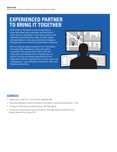### **EXPERIENCED PARTNER TO BRING IT TOGETHER**

All the data in the world is only as powerful as those who know how to decipher and distribute it. That's why it is important to work with a partner who intimately understands the needs of public safety and specializes in using your existing technology to integrate data from across the government enterprise.

We can help you apply analyses to turn information into actionable intelligence, make information accessible to the people who need it most and make more informed decisions. Together we can work to increase situational awareness for first responders, shorten response time, prevent crime, aid investigations – and ultimately create safer cities and thriving communities.



#### **SOURCES**

- 1. "Stopping Crime in Real Time", The Police Chief, September 2006
- 2. "Video Camera Networks Link Real-Time Partners in Crime-Solving", Government Technology, Feb. 1, 2012
- 3. "The Impact of Video Evidence on Modern Policing", IACP 2005, page 26
- 4. "Critical Issues in Policing Series: How Are Innovations in Technology Transforming Policing?" Police Executive Research Forum, January 2012